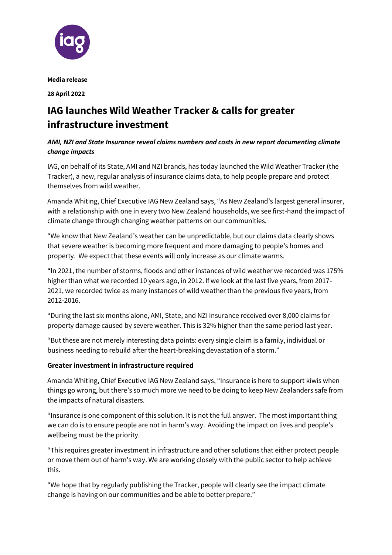

**Media release**

**28 April 2022**

# **IAG launches Wild Weather Tracker & calls for greater infrastructure investment**

## *AMI, NZI and State Insurance reveal claims numbers and costs in new report documenting climate change impacts*

IAG, on behalf of its State, AMI and NZI brands, has today launched the Wild Weather Tracker (the Tracker), a new, regular analysis of insurance claims data, to help people prepare and protect themselves from wild weather.

Amanda Whiting, Chief Executive IAG New Zealand says, "As New Zealand's largest general insurer, with a relationship with one in every two New Zealand households, we see first-hand the impact of climate change through changing weather patterns on our communities.

"We know that New Zealand's weather can be unpredictable, but our claims data clearly shows that severe weather is becoming more frequent and more damaging to people's homes and property. We expect that these events will only increase as our climate warms.

"In 2021, the number of storms, floods and other instances of wild weather we recorded was 175% higher than what we recorded 10 years ago, in 2012. If we look at the last five years, from 2017- 2021, we recorded twice as many instances of wild weather than the previous five years, from 2012-2016.

"During the last six months alone, AMI, State, and NZI Insurance received over 8,000 claims for property damage caused by severe weather. This is 32% higher than the same period last year.

"But these are not merely interesting data points: every single claim is a family, individual or business needing to rebuild after the heart-breaking devastation of a storm."

## **Greater investment in infrastructure required**

Amanda Whiting, Chief Executive IAG New Zealand says, "Insurance is here to support kiwis when things go wrong, but there's so much more we need to be doing to keep New Zealanders safe from the impacts of natural disasters.

"Insurance is one component of this solution. It is not the full answer. The most important thing we can do is to ensure people are not in harm's way. Avoiding the impact on lives and people's wellbeing must be the priority.

"This requires greater investment in infrastructure and other solutions that either protect people or move them out of harm's way. We are working closely with the public sector to help achieve this.

"We hope that by regularly publishing the Tracker, people will clearly see the impact climate change is having on our communities and be able to better prepare."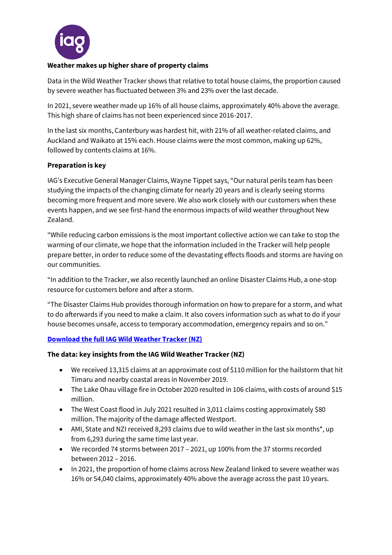

## **Weather makes up higher share of property claims**

Data in the Wild Weather Tracker shows that relative to total house claims, the proportion caused by severe weather has fluctuated between 3% and 23% over the last decade.

In 2021, severe weather made up 16% of all house claims, approximately 40% above the average. This high share of claims has not been experienced since 2016-2017.

In the last six months, Canterbury was hardest hit, with 21% of all weather-related claims, and Auckland and Waikato at 15% each. House claims were the most common, making up 62%, followed by contents claims at 16%.

#### **Preparation is key**

IAG's Executive General Manager Claims, Wayne Tippet says, "Our natural perils team has been studying the impacts of the changing climate for nearly 20 years and is clearly seeing storms becoming more frequent and more severe. We also work closely with our customers when these events happen, and we see first-hand the enormous impacts of wild weather throughout New Zealand.

"While reducing carbon emissions is the most important collective action we can take to stop the warming of our climate, we hope that the information included in the Tracker will help people prepare better, in order to reduce some of the devastating effects floods and storms are having on our communities.

"In addition to the Tracker, we also recently launched an online [Disaster Claims Hub,](https://iagnz.custhelp.com/) a one-stop resource for customers before and after a storm.

"The [Disaster Claims Hub](https://iagnz.custhelp.com/) provides thorough information on how to prepare for a storm, and what to do afterwards if you need to make a claim. It also covers information such as what to do if your house becomes unsafe, access to temporary accommodation, emergency repairs and so on."

## **[Download the full IAG Wild Weather Tracker \(NZ\)](https://www.iag.co.nz/latest-news/articles/wild-weather-tracker.html)**

#### **The data: key insights from the IAG Wild Weather Tracker (NZ)**

- We received 13,315 claims at an approximate cost of \$110 million for the hailstorm that hit Timaru and nearby coastal areas in November 2019.
- The Lake Ohau village fire in October 2020 resulted in 106 claims, with costs of around \$15 million.
- The West Coast flood in July 2021 resulted in 3,011 claims costing approximately \$80 million. The majority of the damage affected Westport.
- AMI, State and NZI received 8,293 claims due to wild weather in the last six months\*, up from 6,293 during the same time last year.
- We recorded 74 storms between 2017 2021, up 100% from the 37 storms recorded between 2012 – 2016.
- In 2021, the proportion of home claims across New Zealand linked to severe weather was 16% or 54,040 claims, approximately 40% above the average across the past 10 years.